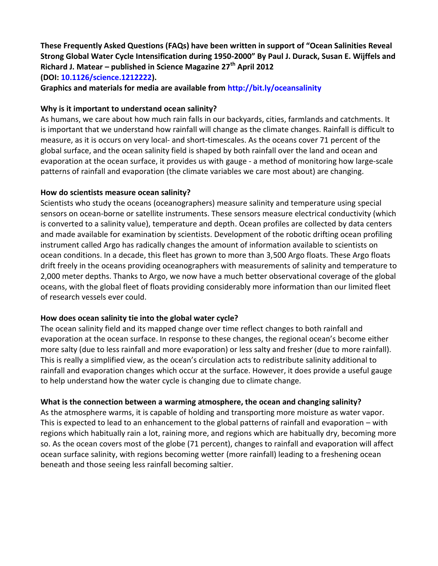**These Frequently Asked Questions (FAQs) have been written in support of "Ocean Salinities Reveal Strong Global Water Cycle Intensification during 1950-2000" By Paul J. Durack, Susan E. Wijffels and Richard J. Matear – published in Science Magazine 27th April 2012 (DOI: [10.1126/science.1212222\)](http://dx.doi.org/10.1126/science.1212222).**

**Graphics and materials for media are available from<http://bit.ly/oceansalinity>**

# **Why is it important to understand ocean salinity?**

As humans, we care about how much rain falls in our backyards, cities, farmlands and catchments. It is important that we understand how rainfall will change as the climate changes. Rainfall is difficult to measure, as it is occurs on very local- and short-timescales. As the oceans cover 71 percent of the global surface, and the ocean salinity field is shaped by both rainfall over the land and ocean and evaporation at the ocean surface, it provides us with gauge - a method of monitoring how large-scale patterns of rainfall and evaporation (the climate variables we care most about) are changing.

# **How do scientists measure ocean salinity?**

Scientists who study the oceans (oceanographers) measure salinity and temperature using special sensors on ocean-borne or satellite instruments. These sensors measure electrical conductivity (which is converted to a salinity value), temperature and depth. Ocean profiles are collected by data centers and made available for examination by scientists. Development of the robotic drifting ocean profiling instrument called Argo has radically changes the amount of information available to scientists on ocean conditions. In a decade, this fleet has grown to more than 3,500 Argo floats. These Argo floats drift freely in the oceans providing oceanographers with measurements of salinity and temperature to 2,000 meter depths. Thanks to Argo, we now have a much better observational coverage of the global oceans, with the global fleet of floats providing considerably more information than our limited fleet of research vessels ever could.

# **How does ocean salinity tie into the global water cycle?**

The ocean salinity field and its mapped change over time reflect changes to both rainfall and evaporation at the ocean surface. In response to these changes, the regional ocean's become either more salty (due to less rainfall and more evaporation) or less salty and fresher (due to more rainfall). This is really a simplified view, as the ocean's circulation acts to redistribute salinity additional to rainfall and evaporation changes which occur at the surface. However, it does provide a useful gauge to help understand how the water cycle is changing due to climate change.

# **What is the connection between a warming atmosphere, the ocean and changing salinity?**

As the atmosphere warms, it is capable of holding and transporting more moisture as water vapor. This is expected to lead to an enhancement to the global patterns of rainfall and evaporation – with regions which habitually rain a lot, raining more, and regions which are habitually dry, becoming more so. As the ocean covers most of the globe (71 percent), changes to rainfall and evaporation will affect ocean surface salinity, with regions becoming wetter (more rainfall) leading to a freshening ocean beneath and those seeing less rainfall becoming saltier.